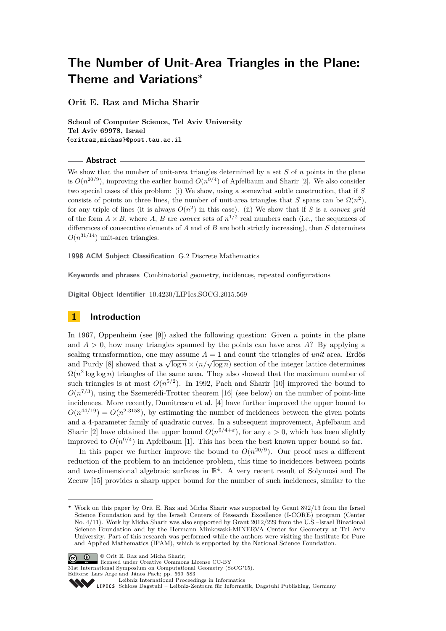**Orit E. Raz and Micha Sharir**

**School of Computer Science, Tel Aviv University Tel Aviv 69978, Israel {oritraz,michas}@post.tau.ac.il**

### **Abstract**

We show that the number of unit-area triangles determined by a set *S* of *n* points in the plane is  $O(n^{20/9})$ , improving the earlier bound  $O(n^{9/4})$  of Apfelbaum and Sharir [\[2\]](#page-14-0). We also consider two special cases of this problem: (i) We show, using a somewhat subtle construction, that if *S* consists of points on three lines, the number of unit-area triangles that *S* spans can be  $\Omega(n^2)$ , for any triple of lines (it is always  $O(n^2)$  in this case). (ii) We show that if *S* is a *convex grid* of the form  $A \times B$ , where A, B are *convex* sets of  $n^{1/2}$  real numbers each (i.e., the sequences of differences of consecutive elements of *A* and of *B* are both strictly increasing), then *S* determines  $O(n^{31/14})$  unit-area triangles.

**1998 ACM Subject Classification** G.2 Discrete Mathematics

**Keywords and phrases** Combinatorial geometry, incidences, repeated configurations

**Digital Object Identifier** [10.4230/LIPIcs.SOCG.2015.569](http://dx.doi.org/10.4230/LIPIcs.SOCG.2015.569)

## **1 Introduction**

In 1967, Oppenheim (see [\[9\]](#page-14-1)) asked the following question: Given *n* points in the plane and  $A > 0$ , how many triangles spanned by the points can have area A? By applying a scaling transformation, one may assume  $A = 1$  and count the triangles of *unit* area. Erdős scaling transformation, one may assume  $A = 1$  and count the triangles of *anti* area. Errors and Purdy [\[8\]](#page-14-2) showed that a  $\sqrt{\log n} \times (n/\sqrt{\log n})$  section of the integer lattice determines  $\Omega(n^2 \log \log n)$  triangles of the same area. They also showed that the maximum number of such triangles is at most  $O(n^{5/2})$ . In 1992, Pach and Sharir [\[10\]](#page-14-3) improved the bound to  $O(n^{7/3})$ , using the Szemerédi-Trotter theorem [\[16\]](#page-14-4) (see below) on the number of point-line incidences. More recently, Dumitrescu et al. [\[4\]](#page-14-5) have further improved the upper bound to  $O(n^{44/19}) = O(n^{2.3158})$ , by estimating the number of incidences between the given points and a 4-parameter family of quadratic curves. In a subsequent improvement, Apfelbaum and Sharir [\[2\]](#page-14-0) have obtained the upper bound  $O(n^{9/4+\epsilon})$ , for any  $\varepsilon > 0$ , which has been slightly improved to  $O(n^{9/4})$  in Apfelbaum [\[1\]](#page-14-6). This has been the best known upper bound so far.

In this paper we further improve the bound to  $O(n^{20/9})$ . Our proof uses a different reduction of the problem to an incidence problem, this time to incidences between points and two-dimensional algebraic surfaces in  $\mathbb{R}^4$ . A very recent result of Solymosi and De Zeeuw [\[15\]](#page-14-7) provides a sharp upper bound for the number of such incidences, similar to the

**<sup>∗</sup>** Work on this paper by Orit E. Raz and Micha Sharir was supported by Grant 892/13 from the Israel Science Foundation and by the Israeli Centers of Research Excellence (I-CORE) program (Center No. 4/11). Work by Micha Sharir was also supported by Grant 2012/229 from the U.S.–Israel Binational Science Foundation and by the Hermann Minkowski-MINERVA Center for Geometry at Tel Aviv University. Part of this research was performed while the authors were visiting the Institute for Pure and Applied Mathematics (IPAM), which is supported by the National Science Foundation.



© Orit E. Raz and Micha Sharir; licensed under Creative Commons License CC-BY

31st International Symposium on Computational Geometry (SoCG'15).



[Leibniz International Proceedings in Informatics](http://www.dagstuhl.de/lipics/)

[Schloss Dagstuhl – Leibniz-Zentrum für Informatik, Dagstuhl Publishing, Germany](http://www.dagstuhl.de)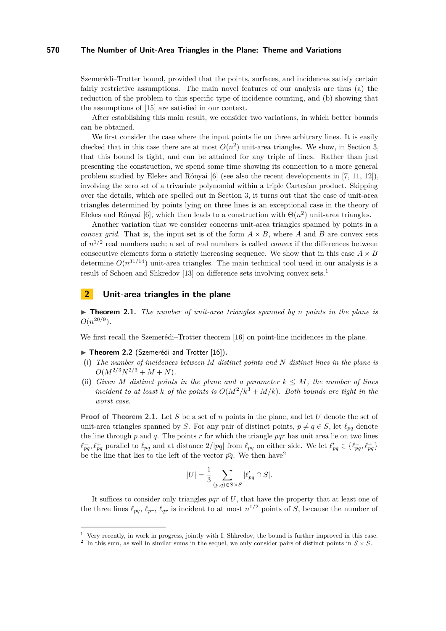Szemerédi–Trotter bound, provided that the points, surfaces, and incidences satisfy certain fairly restrictive assumptions. The main novel features of our analysis are thus (a) the reduction of the problem to this specific type of incidence counting, and (b) showing that the assumptions of [\[15\]](#page-14-7) are satisfied in our context.

After establishing this main result, we consider two variations, in which better bounds can be obtained.

We first consider the case where the input points lie on three arbitrary lines. It is easily checked that in this case there are at most  $O(n^2)$  unit-area triangles. We show, in Section [3,](#page-7-0) that this bound is tight, and can be attained for any triple of lines. Rather than just presenting the construction, we spend some time showing its connection to a more general problem studied by Elekes and Rónyai [\[6\]](#page-14-9) (see also the recent developments in [\[7,](#page-14-10) [11,](#page-14-11) [12\]](#page-14-12)), involving the zero set of a trivariate polynomial within a triple Cartesian product. Skipping over the details, which are spelled out in Section [3,](#page-7-0) it turns out that the case of unit-area triangles determined by points lying on three lines is an exceptional case in the theory of Elekes and Rónyai [\[6\]](#page-14-9), which then leads to a construction with  $\Theta(n^2)$  unit-area triangles.

Another variation that we consider concerns unit-area triangles spanned by points in a *convex grid*. That is, the input set is of the form  $A \times B$ , where *A* and *B* are convex sets of *n* 1*/*2 real numbers each; a set of real numbers is called *convex* if the differences between consecutive elements form a strictly increasing sequence. We show that in this case  $A \times B$ determine  $O(n^{31/14})$  unit-area triangles. The main technical tool used in our analysis is a result of Schoen and Shkredov [\[13\]](#page-14-13) on difference sets involving convex sets.[1](#page-1-0)

### **2 Unit-area triangles in the plane**

<span id="page-1-1"></span>▶ **Theorem 2.1.** *The number of unit-area triangles spanned by n points in the plane is*  $O(n^{20/9})$ .

We first recall the Szemerédi–Trotter theorem [\[16\]](#page-14-4) on point-line incidences in the plane.

#### <span id="page-1-3"></span>▶ **Theorem 2.2** (Szemerédi and Trotter [\[16\]](#page-14-4)).

- **(i)** *The number of incidences between M distinct points and N distinct lines in the plane is*  $O(M^{2/3}N^{2/3} + M + N)$ .
- (ii) *Given M* distinct points in the plane and a parameter  $k \leq M$ *, the number of lines incident to at least k of the points is*  $O(M^2/k^3 + M/k)$ *. Both bounds are tight in the worst case.*

**Proof of Theorem [2.1.](#page-1-1)** Let *S* be a set of *n* points in the plane, and let *U* denote the set of unit-area triangles spanned by *S*. For any pair of distinct points,  $p \neq q \in S$ , let  $\ell_{pq}$  denote the line through  $p$  and  $q$ . The points  $r$  for which the triangle  $pqr$  has unit area lie on two lines  $\ell_{pq}^-$ ,  $\ell_{pq}^+$  parallel to  $\ell_{pq}$  and at distance  $2/|pq|$  from  $\ell_{pq}$  on either side. We let  $\ell'_{pq} \in {\ell_{pq}^-}$ ,  $\ell_{pq}^+$ be the line that lies to the left of the vector  $\vec{pq}$ . We then have<sup>[2](#page-1-2)</sup>

$$
|U|=\frac{1}{3}\sum_{(p,q)\in S\times S}|\ell_{pq}'\cap S|.
$$

It suffices to consider only triangles *pqr* of *U*, that have the property that at least one of the three lines  $\ell_{pq}, \ell_{pr}, \ell_{qr}$  is incident to at most  $n^{1/2}$  points of *S*, because the number of

<span id="page-1-0"></span> $1$  Very recently, in work in progress, jointly with I. Shkredov, the bound is further improved in this case.

<span id="page-1-2"></span><sup>&</sup>lt;sup>2</sup> In this sum, as well in similar sums in the sequel, we only consider pairs of distinct points in  $S \times S$ .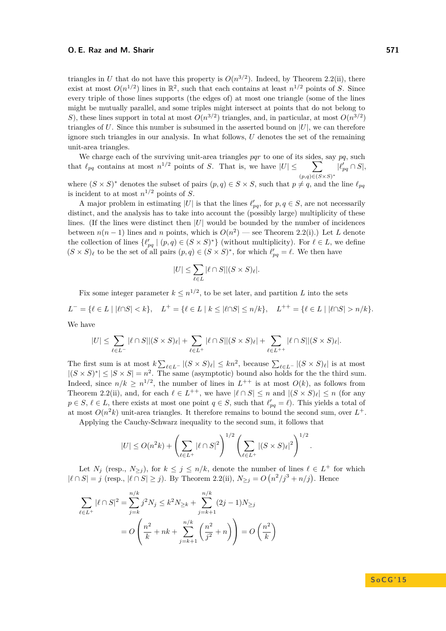triangles in *U* that do not have this property is  $O(n^{3/2})$ . Indeed, by Theorem [2.2\(](#page-1-3)ii), there exist at most  $O(n^{1/2})$  lines in  $\mathbb{R}^2$ , such that each contains at least  $n^{1/2}$  points of *S*. Since every triple of those lines supports (the edges of) at most one triangle (some of the lines might be mutually parallel, and some triples might intersect at points that do not belong to *S*), these lines support in total at most  $O(n^{3/2})$  triangles, and, in particular, at most  $O(n^{3/2})$ triangles of  $U$ . Since this number is subsumed in the asserted bound on  $|U|$ , we can therefore ignore such triangles in our analysis. In what follows, *U* denotes the set of the remaining unit-area triangles.

We charge each of the surviving unit-area triangles *pqr* to one of its sides, say *pq*, such that  $\ell_{pq}$  contains at most  $n^{1/2}$  points of *S*. That is, we have  $|U| \leq \sum$ (*p,q*)∈(*S*×*S*) ∗  $|\ell'_{pq} \cap S|$ 

where  $(S \times S)^*$  denotes the subset of pairs  $(p, q) \in S \times S$ , such that  $p \neq q$ , and the line  $\ell_{pq}$ is incident to at most  $n^{1/2}$  points of *S*.

A major problem in estimating |U| is that the lines  $\ell'_{pq}$ , for  $p, q \in S$ , are not necessarily distinct, and the analysis has to take into account the (possibly large) multiplicity of these lines. (If the lines were distinct then  $|U|$  would be bounded by the number of incidences between  $n(n-1)$  lines and *n* points, which is  $O(n^2)$  — see Theorem [2.2\(](#page-1-3)i).) Let *L* denote the collection of lines  $\{\ell'_{pq} \mid (p,q) \in (S \times S)^*\}$  (without multiplicity). For  $\ell \in L$ , we define  $(S \times S)_{\ell}$  to be the set of all pairs  $(p, q) \in (S \times S)^*$ , for which  $\ell'_{pq} = \ell$ . We then have

$$
|U| \le \sum_{\ell \in L} |\ell \cap S| |(S \times S)_{\ell}|.
$$

Fix some integer parameter  $k \leq n^{1/2}$ , to be set later, and partition *L* into the sets  $L^- = \{ \ell \in L \mid |\ell \cap S| < k \}, \quad L^+ = \{ \ell \in L \mid k \leq |\ell \cap S| \leq n/k \}, \quad L^{++} = \{ \ell \in L \mid |\ell \cap S| > n/k \}.$ We have

$$
|U| \leq \sum_{\ell \in L^-} |\ell \cap S||(S \times S)_{\ell}| + \sum_{\ell \in L^+} |\ell \cap S||(S \times S)_{\ell}| + \sum_{\ell \in L^{++}} |\ell \cap S||(S \times S)_{\ell}|.
$$

The first sum is at most  $k \sum_{\ell \in L^-} |(S \times S)_{\ell}| \le kn^2$ , because  $\sum_{\ell \in L^-} |(S \times S)_{\ell}|$  is at most  $|(S \times S)^*| \leq |S \times S| = n^2$ . The same (asymptotic) bound also holds for the the third sum. Indeed, since  $n/k \geq n^{1/2}$ , the number of lines in  $L^{++}$  is at most  $O(k)$ , as follows from Theorem [2.2\(](#page-1-3)ii), and, for each  $\ell \in L^{++}$ , we have  $|\ell \cap S| \leq n$  and  $|(S \times S)_{\ell}| \leq n$  (for any  $p \in S$ ,  $\ell \in L$ , there exists at most one point  $q \in S$ , such that  $\ell'_{pq} = \ell$ ). This yields a total of at most  $O(n^2k)$  unit-area triangles. It therefore remains to bound the second sum, over  $L^+$ .

Applying the Cauchy-Schwarz inequality to the second sum, it follows that

$$
|U| \le O(n^2k) + \left(\sum_{\ell \in L^+} |\ell \cap S|^2\right)^{1/2} \left(\sum_{\ell \in L^+} |(S \times S)_{\ell}|^2\right)^{1/2}.
$$

Let  $N_j$  (resp.,  $N_{\geq j}$ ), for  $k \leq j \leq n/k$ , denote the number of lines  $\ell \in L^+$  for which  $|l \cap S| = j$  (resp.,  $|l \cap S| \geq j$ ). By Theorem [2.2\(](#page-1-3)ii),  $N_{\geq j} = O(n^2/j^3 + n/j)$ . Hence

$$
\sum_{\ell \in L^{+}} |\ell \cap S|^{2} = \sum_{j=k}^{n/k} j^{2} N_{j} \leq k^{2} N_{\geq k} + \sum_{j=k+1}^{n/k} (2j-1) N_{\geq j}
$$

$$
= O\left(\frac{n^{2}}{k} + nk + \sum_{j=k+1}^{n/k} \left(\frac{n^{2}}{j^{2}} + n\right)\right) = O\left(\frac{n^{2}}{k}\right)
$$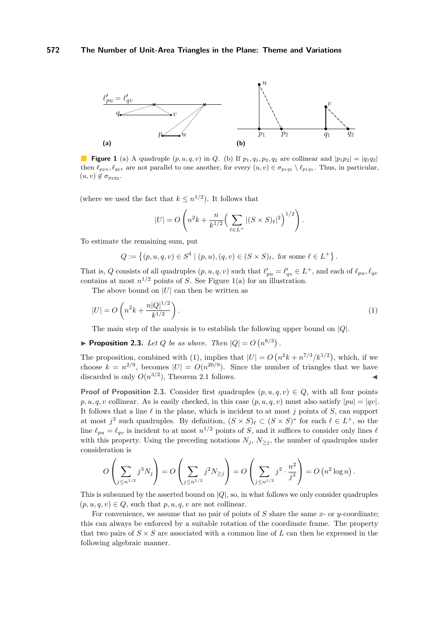<span id="page-3-0"></span>

**Figure 1** (a) A quadruple  $(p, u, q, v)$  in *Q*. (b) If  $p_1, q_1, p_2, q_2$  are collinear and  $|p_1p_2| = |q_1q_2|$ then  $\ell_{p_2u}, \ell_{q_2v}$  are not parallel to one another, for every  $(u, v) \in \sigma_{p_1q_1} \setminus \ell_{p_1q_1}$ . Thus, in particular,  $(u, v) \notin \sigma_{p_2 q_2}.$ 

(where we used the fact that  $k \leq n^{1/2}$ ). It follows that

<span id="page-3-1"></span>
$$
|U| = O\left(n^2k + \frac{n}{k^{1/2}}\left(\sum_{\ell \in L^+} |(S \times S)_{\ell}|^2\right)^{1/2}\right).
$$

To estimate the remaining sum, put

$$
Q := \{ (p, u, q, v) \in S^4 \mid (p, u), (q, v) \in (S \times S)_{\ell}, \text{ for some } \ell \in L^+ \}.
$$

That is, *Q* consists of all quadruples  $(p, u, q, v)$  such that  $\ell'_{pu} = \ell'_{qv} \in L^+$ , and each of  $\ell_{pu}, \ell_{qv}$ contains at most  $n^{1/2}$  points of *S*. See Figure [1\(](#page-3-0)a) for an illustration.

The above bound on  $|U|$  can then be written as

$$
|U| = O\left(n^2k + \frac{n|Q|^{1/2}}{k^{1/2}}\right).
$$
\n(1)

The main step of the analysis is to establish the following upper bound on |*Q*|.

<span id="page-3-2"></span>**Proposition 2.3.** *Let Q be as above. Then*  $|Q| = O(n^{8/3})$ .

The proposition, combined with [\(1\)](#page-3-1), implies that  $|U| = O(n^2k + n^{7/3}/k^{1/2})$ , which, if we choose  $k = n^{2/9}$ , becomes  $|U| = O(n^{20/9})$ . Since the number of triangles that we have discarded is only  $O(n^{3/2})$ , Theorem [2.1](#page-1-1) follows.

**Proof of Proposition [2.3.](#page-3-2)** Consider first quadruples  $(p, u, q, v) \in Q$ , with all four points  $p, u, q, v$  collinear. As is easily checked, in this case  $(p, u, q, v)$  must also satisfy  $|pu| = |qv|$ . It follows that a line  $\ell$  in the plane, which is incident to at most *j* points of *S*, can support at most  $j^3$  such quadruples. By definition,  $(S \times S)_{\ell} \subset (S \times S)^*$  for each  $\ell \in L^+$ , so the line  $\ell_{pu} = \ell_{qv}$  is incident to at most  $n^{1/2}$  points of *S*, and it suffices to consider only lines  $\ell$ with this property. Using the preceding notations  $N_j$ ,  $N_{\geq j}$ , the number of quadruples under consideration is

$$
O\left(\sum_{j\leq n^{1/2}} j^3 N_j\right) = O\left(\sum_{j\leq n^{1/2}} j^2 N_{\geq j}\right) = O\left(\sum_{j\leq n^{1/2}} j^2 \cdot \frac{n^2}{j^3}\right) = O\left(n^2 \log n\right).
$$

This is subsumed by the asserted bound on  $|Q|$ , so, in what follows we only consider quadruples  $(p, u, q, v) \in Q$ , such that  $p, u, q, v$  are not collinear.

For convenience, we assume that no pair of points of *S* share the same *x*- or *y*-coordinate; this can always be enforced by a suitable rotation of the coordinate frame. The property that two pairs of  $S \times S$  are associated with a common line of  $L$  can then be expressed in the following algebraic manner.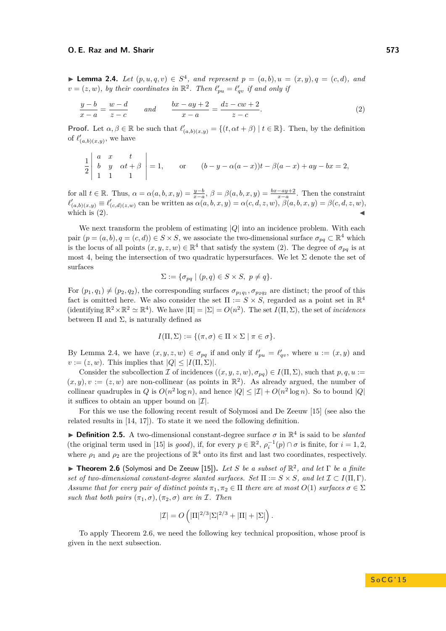<span id="page-4-1"></span>▶ **Lemma 2.4.** *Let*  $(p, u, q, v) \in S^4$ *, and represent*  $p = (a, b), u = (x, y), q = (c, d)$ *, and*  $v = (z, w)$ *, by their coordinates in*  $\mathbb{R}^2$ *. Then*  $\ell'_{pu} = \ell'_{qv}$  *if and only if* 

<span id="page-4-0"></span>
$$
\frac{y-b}{x-a} = \frac{w-d}{z-c} \qquad and \qquad \frac{bx-ay+2}{x-a} = \frac{dz-cw+2}{z-c}.
$$
 (2)

**Proof.** Let  $\alpha, \beta \in \mathbb{R}$  be such that  $\ell'_{(a,b)(x,y)} = \{(t, \alpha t + \beta) \mid t \in \mathbb{R}\}$ . Then, by the definition of  $\ell'_{(a,b)(x,y)}$ , we have

$$
\frac{1}{2}\begin{vmatrix} a & x & t \\ b & y & \alpha t + \beta \\ 1 & 1 & 1 \end{vmatrix} = 1, \quad \text{or} \quad (b - y - \alpha(a - x))t - \beta(a - x) + ay - bx = 2,
$$

for all  $t \in \mathbb{R}$ . Thus,  $\alpha = \alpha(a, b, x, y) = \frac{y-b}{x-a}, \ \beta = \beta(a, b, x, y) = \frac{bx-ay+2}{x-a}$ . Then the constraint  $\ell'_{(a,b)(x,y)} \equiv \ell'_{(c,d)(z,w)}$  can be written as  $\alpha(a, b, x, y) = \alpha(c, d, z, w), \beta(a, b, x, y) = \beta(c, d, z, w),$ which is  $(2)$ .

We next transform the problem of estimating |*Q*| into an incidence problem. With each pair  $(p = (a, b), q = (c, d)) \in S \times S$ , we associate the two-dimensional surface  $\sigma_{pq} \subset \mathbb{R}^4$  which is the locus of all points  $(x, y, z, w) \in \mathbb{R}^4$  that satisfy the system [\(2\)](#page-4-0). The degree of  $\sigma_{pq}$  is at most 4, being the intersection of two quadratic hypersurfaces. We let  $\Sigma$  denote the set of surfaces

$$
\Sigma := \{ \sigma_{pq} \mid (p,q) \in S \times S, \ p \neq q \}.
$$

For  $(p_1, q_1) \neq (p_2, q_2)$ , the corresponding surfaces  $\sigma_{p_1q_1}, \sigma_{p_2q_2}$  are distinct; the proof of this fact is omitted here. We also consider the set  $\Pi := S \times S$ , regarded as a point set in  $\mathbb{R}^4$ (identifying  $\mathbb{R}^2 \times \mathbb{R}^2 \simeq \mathbb{R}^4$ ). We have  $|\Pi| = |\Sigma| = O(n^2)$ . The set *I*( $\Pi, \Sigma$ ), the set of *incidences* between  $\Pi$  and  $\Sigma$ , is naturally defined as

$$
I(\Pi, \Sigma) := \{ (\pi, \sigma) \in \Pi \times \Sigma \mid \pi \in \sigma \}.
$$

By Lemma [2.4,](#page-4-1) we have  $(x, y, z, w) \in \sigma_{pq}$  if and only if  $\ell'_{pu} = \ell'_{qv}$ , where  $u := (x, y)$  and  $v := (z, w)$ . This implies that  $|Q| \leq |I(\Pi, \Sigma)|$ .

Consider the subcollection I of incidences  $((x, y, z, w), \sigma_{pq}) \in I(\Pi, \Sigma)$ , such that  $p, q, u :=$  $(x, y), v := (z, w)$  are non-collinear (as points in  $\mathbb{R}^2$ ). As already argued, the number of collinear quadruples in *Q* is  $O(n^2 \log n)$ , and hence  $|Q| \leq |\mathcal{I}| + O(n^2 \log n)$ . So to bound  $|Q|$ it suffices to obtain an upper bound on  $|\mathcal{I}|$ .

For this we use the following recent result of Solymosi and De Zeeuw [\[15\]](#page-14-7) (see also the related results in [\[14,](#page-14-14) [17\]](#page-14-15)). To state it we need the following definition.

**Definition 2.5.** A two-dimensional constant-degree surface  $\sigma$  in  $\mathbb{R}^4$  is said to be *slanted* (the original term used in [\[15\]](#page-14-7) is *good*), if, for every  $p \in \mathbb{R}^2$ ,  $\rho_i^{-1}(p) \cap \sigma$  is finite, for  $i = 1, 2$ , where  $\rho_1$  and  $\rho_2$  are the projections of  $\mathbb{R}^4$  onto its first and last two coordinates, respectively.

<span id="page-4-2"></span>**► Theorem 2.6** (Solymosi and De Zeeuw [\[15\]](#page-14-7)). Let *S* be a subset of  $\mathbb{R}^2$ , and let Γ be a finite *set of two-dimensional constant-degree slanted surfaces. Set*  $\Pi := S \times S$ *, and let*  $\mathcal{I} \subset I(\Pi, \Gamma)$ *. Assume that for every pair of distinct points*  $\pi_1, \pi_2 \in \Pi$  *there are at most*  $O(1)$  *surfaces*  $\sigma \in \Sigma$ *such that both pairs*  $(\pi_1, \sigma), (\pi_2, \sigma)$  *are in* I. Then

$$
|\mathcal{I}| = O\left(|\Pi|^{2/3}|\Sigma|^{2/3} + |\Pi| + |\Sigma|\right).
$$

To apply Theorem [2.6,](#page-4-2) we need the following key technical proposition, whose proof is given in the next subsection.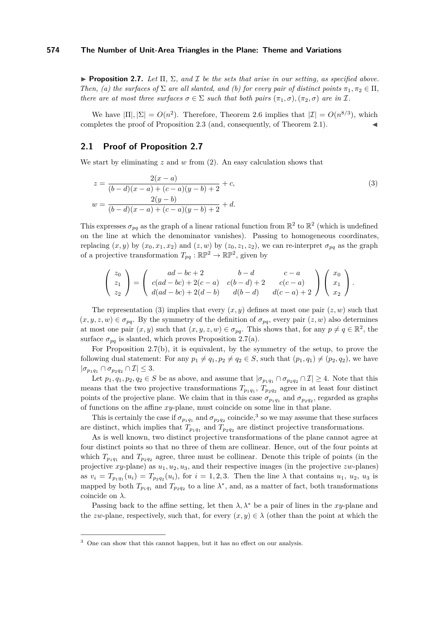<span id="page-5-0"></span>**Proposition 2.7.** *Let*  $\Pi$ ,  $\Sigma$ , and  $\mathcal I$  *be the sets that arise in our setting, as specified above. Then, (a) the surfaces of*  $\Sigma$  *are all slanted, and (b) for every pair of distinct points*  $\pi_1, \pi_2 \in \Pi$ *, there are at most three surfaces*  $\sigma \in \Sigma$  *such that both pairs*  $(\pi_1, \sigma)$ *,*  $(\pi_2, \sigma)$  *are in* I*.* 

We have  $|\Pi|, |\Sigma| = O(n^2)$ . Therefore, Theorem [2.6](#page-4-2) implies that  $|\mathcal{I}| = O(n^{8/3})$ , which completes the proof of Proposition  $2.3$  (and, consequently, of Theorem  $2.1$ ).

# **2.1 Proof of Proposition [2.7](#page-5-0)**

We start by eliminating  $z$  and  $w$  from  $(2)$ . An easy calculation shows that

<span id="page-5-1"></span>
$$
z = \frac{2(x-a)}{(b-d)(x-a) + (c-a)(y-b) + 2} + c,
$$
  
\n
$$
w = \frac{2(y-b)}{(b-d)(x-a) + (c-a)(y-b) + 2} + d.
$$
\n(3)

This expresses  $\sigma_{pq}$  as the graph of a linear rational function from  $\mathbb{R}^2$  to  $\mathbb{R}^2$  (which is undefined on the line at which the denominator vanishes). Passing to homogeneous coordinates, replacing  $(x, y)$  by  $(x_0, x_1, x_2)$  and  $(z, w)$  by  $(z_0, z_1, z_2)$ , we can re-interpret  $\sigma_{pq}$  as the graph of a projective transformation  $T_{pq} : \mathbb{RP}^2 \to \mathbb{RP}^2$ , given by

$$
\begin{pmatrix} z_0 \\ z_1 \\ z_2 \end{pmatrix} = \begin{pmatrix} ad - bc + 2 & b - d & c - a \\ c(ad - bc) + 2(c - a) & c(b - d) + 2 & c(c - a) \\ d(ad - bc) + 2(d - b) & d(b - d) & d(c - a) + 2 \end{pmatrix} \begin{pmatrix} x_0 \\ x_1 \\ x_2 \end{pmatrix}.
$$

The representation [\(3\)](#page-5-1) implies that every  $(x, y)$  defines at most one pair  $(z, w)$  such that  $(x, y, z, w) \in \sigma_{pq}$ . By the symmetry of the definition of  $\sigma_{pq}$ , every pair  $(z, w)$  also determines at most one pair  $(x, y)$  such that  $(x, y, z, w) \in \sigma_{pq}$ . This shows that, for any  $p \neq q \in \mathbb{R}^2$ , the surface  $\sigma_{pq}$  is slanted, which proves Proposition [2.7\(](#page-5-0)a).

For Proposition [2.7\(](#page-5-0)b), it is equivalent, by the symmetry of the setup, to prove the following dual statement: For any  $p_1 \neq q_1, p_2 \neq q_2 \in S$ , such that  $(p_1, q_1) \neq (p_2, q_2)$ , we have  $|\sigma_{p_1q_1} \cap \sigma_{p_2q_2} \cap \mathcal{I}| \leq 3.$ 

Let  $p_1, q_1, p_2, q_2 \in S$  be as above, and assume that  $|\sigma_{p_1q_1} \cap \sigma_{p_2q_2} \cap \mathcal{I}| \geq 4$ . Note that this means that the two projective transformations  $T_{p_1q_1}$ ,  $T_{p_2q_2}$  agree in at least four distinct points of the projective plane. We claim that in this case  $\sigma_{p_1q_1}$  and  $\sigma_{p_2q_2}$ , regarded as graphs of functions on the affine *xy*-plane, must coincide on some line in that plane.

This is certainly the case if  $\sigma_{p_1q_1}$  and  $\sigma_{p_2q_2}$  coincide,<sup>[3](#page-5-2)</sup> so we may assume that these surfaces are distinct, which implies that  $T_{p_1q_1}$  and  $T_{p_2q_2}$  are distinct projective transformations.

As is well known, two distinct projective transformations of the plane cannot agree at four distinct points so that no three of them are collinear. Hence, out of the four points at which  $T_{p_1q_1}$  and  $T_{p_2q_2}$  agree, three must be collinear. Denote this triple of points (in the projective *xy*-plane) as *u*1*, u*2*, u*3, and their respective images (in the projective *zw*-planes) as  $v_i = T_{p_1q_1}(u_i) = T_{p_2q_2}(u_i)$ , for  $i = 1, 2, 3$ . Then the line  $\lambda$  that contains  $u_1, u_2, u_3$  is mapped by both  $T_{p_1q_1}$  and  $T_{p_2q_2}$  to a line  $\lambda^*$ , and, as a matter of fact, both transformations coincide on *λ*.

Passing back to the affine setting, let then  $\lambda, \lambda^*$  be a pair of lines in the *xy*-plane and the *zw*-plane, respectively, such that, for every  $(x, y) \in \lambda$  (other than the point at which the

<span id="page-5-2"></span><sup>&</sup>lt;sup>3</sup> One can show that this cannot happen, but it has no effect on our analysis.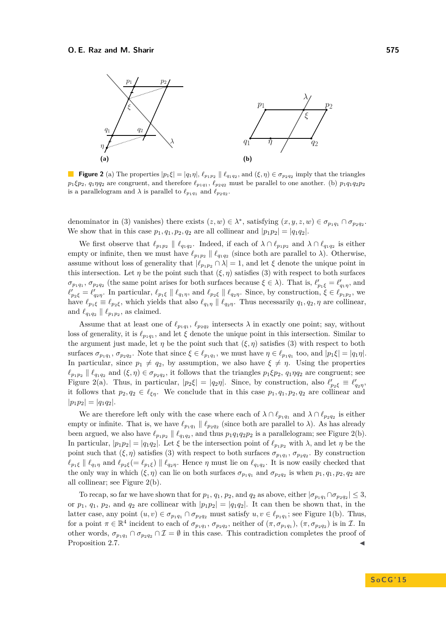<span id="page-6-0"></span>

**Figure 2** (a) The properties  $|p_1\xi| = |q_1\eta|$ ,  $\ell_{p_1p_2} \parallel \ell_{q_1q_2}$ , and  $(\xi, \eta) \in \sigma_{p_2q_2}$  imply that the triangles  $p_1$ *ξp*<sub>2</sub>,  $q_1$ *η* $q_2$  are congruent, and therefore  $\ell_{p_1q_1}$ ,  $\ell_{p_2q_2}$  must be parallel to one another. (b)  $p_1q_1q_2p_2$ is a parallelogram and  $\lambda$  is parallel to  $\ell_{p_1q_1}$  and  $\ell_{p_2q_2}$ .

denominator in [\(3\)](#page-5-1) vanishes) there exists  $(z, w) \in \lambda^*$ , satisfying  $(x, y, z, w) \in \sigma_{p_1 q_1} \cap \sigma_{p_2 q_2}$ . We show that in this case  $p_1, q_1, p_2, q_2$  are all collinear and  $|p_1p_2| = |q_1q_2|$ .

We first observe that  $\ell_{p_1p_2} \parallel \ell_{q_1q_2}$ . Indeed, if each of  $\lambda \cap \ell_{p_1p_2}$  and  $\lambda \cap \ell_{q_1q_2}$  is either empty or infinite, then we must have  $\ell_{p_1p_2} \parallel \ell_{q_1q_2}$  (since both are parallel to  $\lambda$ ). Otherwise, assume without loss of generality that  $|\ell_{p_1p_2} \cap \lambda| = 1$ , and let  $\xi$  denote the unique point in this intersection. Let  $\eta$  be the point such that  $(\xi, \eta)$  satisfies [\(3\)](#page-5-1) with respect to both surfaces  $\sigma_{p_1q_1}, \sigma_{p_2q_2}$  (the same point arises for both surfaces because  $\xi \in \lambda$ ). That is,  $\ell'_{p_1\xi} = \ell'_{q_1\eta}$ , and  $\ell'_{p_2\xi} = \ell'_{q_2\eta}$ . In particular,  $\ell_{p_1\xi} \parallel \ell_{q_1\eta}$ , and  $\ell_{p_2\xi} \parallel \ell_{q_2\eta}$ . Since, by construction,  $\xi \in \ell_{p_1p_2}$ , we have  $\ell_{p_1\xi} \equiv \ell_{p_2\xi}$ , which yields that also  $\ell_{q_1\eta} \parallel \ell_{q_2\eta}$ . Thus necessarily  $q_1, q_2, \eta$  are collinear, and  $\ell_{q_1q_2} \parallel \ell_{p_1p_2}$ , as claimed.

Assume that at least one of  $\ell_{p_1q_1}, \ell_{p_2q_2}$  intersects  $\lambda$  in exactly one point; say, without loss of generality, it is  $\ell_{p_1q_1}$ , and let  $\xi$  denote the unique point in this intersection. Similar to the argument just made, let  $\eta$  be the point such that  $(\xi, \eta)$  satisfies [\(3\)](#page-5-1) with respect to both surfaces  $\sigma_{p_1q_1}, \sigma_{p_2q_2}$ . Note that since  $\xi \in \ell_{p_1q_1}$ , we must have  $\eta \in \ell_{p_1q_1}$  too, and  $|p_1\xi| = |q_1\eta|$ . In particular, since  $p_1 \neq q_2$ , by assumption, we also have  $\xi \neq \eta$ . Using the properties  $\ell_{p_1p_2} \parallel \ell_{q_1q_2}$  and  $(\xi, \eta) \in \sigma_{p_2q_2}$ , it follows that the triangles  $p_1 \xi p_2$ ,  $q_1 \eta q_2$  are congruent; see Figure [2\(](#page-6-0)a). Thus, in particular,  $|p_2 \xi| = |q_2 \eta|$ . Since, by construction, also  $\ell'_{p_2 \xi} \equiv \ell'_{q_2 \eta}$ , it follows that  $p_2, q_2 \in \ell_{\xi\eta}$ . We conclude that in this case  $p_1, q_1, p_2, q_2$  are collinear and  $|p_1p_2| = |q_1q_2|.$ 

We are therefore left only with the case where each of  $\lambda \cap \ell_{p_1q_1}$  and  $\lambda \cap \ell_{p_2q_2}$  is either empty or infinite. That is, we have  $\ell_{p_1q_1} \parallel \ell_{p_2q_2}$  (since both are parallel to  $\lambda$ ). As has already been argued, we also have  $\ell_{p_1p_2} \parallel \ell_{q_1q_2}$ , and thus  $p_1q_1q_2p_2$  is a parallelogram; see Figure [2\(](#page-6-0)b). In particular,  $|p_1p_2| = |q_1q_2|$ . Let  $\xi$  be the intersection point of  $\ell_{p_1p_2}$  with  $\lambda$ , and let  $\eta$  be the point such that  $(\xi, \eta)$  satisfies [\(3\)](#page-5-1) with respect to both surfaces  $\sigma_{p_1q_1}, \sigma_{p_2q_2}$ . By construction  $\ell_{p_1\xi} \parallel \ell_{q_1\eta}$  and  $\ell_{p_2\xi} = \ell_{p_1\xi}$   $\parallel \ell_{q_2\eta}$ . Hence  $\eta$  must lie on  $\ell_{q_1q_2}$ . It is now easily checked that the only way in which  $(\xi, \eta)$  can lie on both surfaces  $\sigma_{p_1q_1}$  and  $\sigma_{p_2q_2}$  is when  $p_1, q_1, p_2, q_2$  are all collinear; see Figure [2\(](#page-6-0)b).

To recap, so far we have shown that for  $p_1$ ,  $q_1$ ,  $p_2$ , and  $q_2$  as above, either  $|\sigma_{p_1q_1} \cap \sigma_{p_2q_2}| \leq 3$ , or  $p_1$ ,  $q_1$ ,  $p_2$ , and  $q_2$  are collinear with  $|p_1p_2| = |q_1q_2|$ . It can then be shown that, in the latter case, any point  $(u, v) \in \sigma_{p_1q_1} \cap \sigma_{p_2q_2}$  must satisfy  $u, v \in \ell_{p_1q_1}$ ; see Figure [1\(](#page-3-0)b). Thus, for a point  $\pi \in \mathbb{R}^4$  incident to each of  $\sigma_{p_1q_1}, \sigma_{p_2q_2}$ , neither of  $(\pi, \sigma_{p_1q_1}), (\pi, \sigma_{p_2q_2})$  is in  $\mathcal{I}$ . In other words,  $\sigma_{p_1q_1} \cap \sigma_{p_2q_2} \cap \mathcal{I} = \emptyset$  in this case. This contradiction completes the proof of Proposition [2.7.](#page-5-0)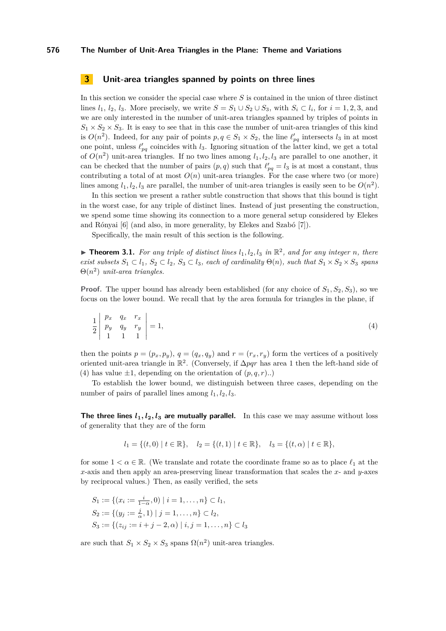# <span id="page-7-0"></span>**3 Unit-area triangles spanned by points on three lines**

In this section we consider the special case where *S* is contained in the union of three distinct lines  $l_1, l_2, l_3$ . More precisely, we write  $S = S_1 \cup S_2 \cup S_3$ , with  $S_i \subset l_i$ , for  $i = 1, 2, 3$ , and we are only interested in the number of unit-area triangles spanned by triples of points in  $S_1 \times S_2 \times S_3$ . It is easy to see that in this case the number of unit-area triangles of this kind is  $O(n^2)$ . Indeed, for any pair of points  $p, q \in S_1 \times S_2$ , the line  $\ell'_{pq}$  intersects  $l_3$  in at most one point, unless  $\ell'_{pq}$  coincides with  $l_3$ . Ignoring situation of the latter kind, we get a total of  $O(n^2)$  unit-area triangles. If no two lines among  $l_1, l_2, l_3$  are parallel to one another, it can be checked that the number of pairs  $(p, q)$  such that  $\ell'_{pq} = l_3$  is at most a constant, thus contributing a total of at most  $O(n)$  unit-area triangles. For the case where two (or more) lines among  $l_1, l_2, l_3$  are parallel, the number of unit-area triangles is easily seen to be  $O(n^2)$ .

In this section we present a rather subtle construction that shows that this bound is tight in the worst case, for any triple of distinct lines. Instead of just presenting the construction, we spend some time showing its connection to a more general setup considered by Elekes and Rónyai [\[6\]](#page-14-9) (and also, in more generality, by Elekes and Szabó [\[7\]](#page-14-10)).

Specifically, the main result of this section is the following.

 $\blacktriangleright$  **Theorem 3.1.** For any triple of distinct lines  $l_1, l_2, l_3$  in  $\mathbb{R}^2$ , and for any integer *n*, there *exist subsets*  $S_1 \subset l_1$ ,  $S_2 \subset l_2$ ,  $S_3 \subset l_3$ , each of cardinality  $\Theta(n)$ , such that  $S_1 \times S_2 \times S_3$  *spans*  $\Theta(n^2)$  *unit-area triangles.* 

**Proof.** The upper bound has already been established (for any choice of  $S_1$ ,  $S_2$ ,  $S_3$ ), so we focus on the lower bound. We recall that by the area formula for triangles in the plane, if

<span id="page-7-1"></span>
$$
\frac{1}{2} \begin{vmatrix} p_x & q_x & r_x \\ p_y & q_y & r_y \\ 1 & 1 & 1 \end{vmatrix} = 1,
$$
\n(4)

then the points  $p = (p_x, p_y), q = (q_x, q_y)$  and  $r = (r_x, r_y)$  form the vertices of a positively oriented unit-area triangle in  $\mathbb{R}^2$ . (Conversely, if  $\Delta pqr$  has area 1 then the left-hand side of [\(4\)](#page-7-1) has value  $\pm 1$ , depending on the orientation of  $(p, q, r)$ ...

To establish the lower bound, we distinguish between three cases, depending on the number of pairs of parallel lines among  $l_1, l_2, l_3$ .

**The three lines**  $l_1, l_2, l_3$  are mutually parallel. In this case we may assume without loss of generality that they are of the form

$$
l_1 = \{(t,0) | t \in \mathbb{R}\}, \quad l_2 = \{(t,1) | t \in \mathbb{R}\}, \quad l_3 = \{(t,\alpha) | t \in \mathbb{R}\},\
$$

for some  $1 < \alpha \in \mathbb{R}$ . (We translate and rotate the coordinate frame so as to place  $\ell_1$  at the *x*-axis and then apply an area-preserving linear transformation that scales the *x*- and *y*-axes by reciprocal values.) Then, as easily verified, the sets

$$
S_1 := \{ (x_i := \frac{i}{1-\alpha}, 0) \mid i = 1, ..., n \} \subset l_1,
$$
  
\n
$$
S_2 := \{ (y_j := \frac{j}{\alpha}, 1) \mid j = 1, ..., n \} \subset l_2,
$$
  
\n
$$
S_3 := \{ (z_{ij} := i + j - 2, \alpha) \mid i, j = 1, ..., n \} \subset l_3
$$

are such that  $S_1 \times S_2 \times S_3$  spans  $\Omega(n^2)$  unit-area triangles.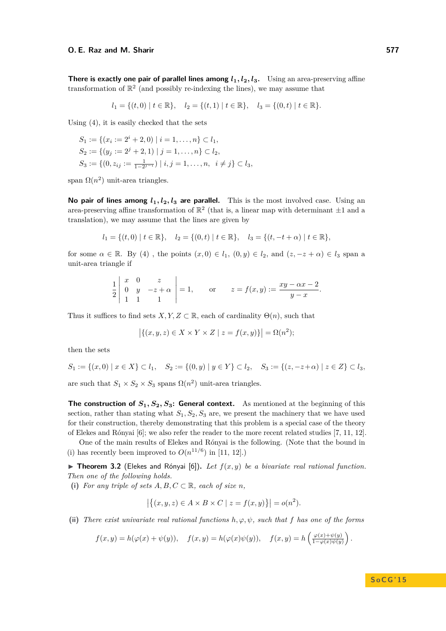**There is exactly one pair of parallel lines among**  $l_1, l_2, l_3$ **.** Using an area-preserving affine transformation of  $\mathbb{R}^2$  (and possibly re-indexing the lines), we may assume that

$$
l_1 = \{(t,0) \mid t \in \mathbb{R}\}, \quad l_2 = \{(t,1) \mid t \in \mathbb{R}\}, \quad l_3 = \{(0,t) \mid t \in \mathbb{R}\}.
$$

Using [\(4\)](#page-7-1), it is easily checked that the sets

$$
S_1 := \{ (x_i := 2^i + 2, 0) \mid i = 1, ..., n \} \subset l_1,
$$
  
\n
$$
S_2 := \{ (y_j := 2^j + 2, 1) \mid j = 1, ..., n \} \subset l_2,
$$
  
\n
$$
S_3 := \{ (0, z_{ij} := \frac{1}{1 - 2^{j-i}}) \mid i, j = 1, ..., n, i \neq j \} \subset l_3,
$$

span  $\Omega(n^2)$  unit-area triangles.

**No pair of lines among**  $l_1$ ,  $l_2$ ,  $l_3$  are parallel. This is the most involved case. Using an area-preserving affine transformation of  $\mathbb{R}^2$  (that is, a linear map with determinant  $\pm 1$  and a translation), we may assume that the lines are given by

$$
l_1 = \{(t,0) \mid t \in \mathbb{R}\}, \quad l_2 = \{(0,t) \mid t \in \mathbb{R}\}, \quad l_3 = \{(t,-t+\alpha) \mid t \in \mathbb{R}\},
$$

for some  $\alpha \in \mathbb{R}$ . By [\(4\)](#page-7-1), the points  $(x, 0) \in l_1$ ,  $(0, y) \in l_2$ , and  $(z, -z + \alpha) \in l_3$  span a unit-area triangle if

$$
\frac{1}{2} \begin{vmatrix} x & 0 & z \\ 0 & y & -z + \alpha \\ 1 & 1 & 1 \end{vmatrix} = 1, \quad \text{or} \quad z = f(x, y) := \frac{xy - \alpha x - 2}{y - x}.
$$

Thus it suffices to find sets *X, Y, Z*  $\subset \mathbb{R}$ , each of cardinality  $\Theta(n)$ , such that

$$
\big|\{(x,y,z)\in X\times Y\times Z\mid z=f(x,y)\}\big|=\Omega(n^2);
$$

then the sets

$$
S_1 := \{(x,0) \mid x \in X\} \subset l_1, \quad S_2 := \{(0,y) \mid y \in Y\} \subset l_2, \quad S_3 := \{(z,-z+\alpha) \mid z \in Z\} \subset l_3,
$$

are such that  $S_1 \times S_2 \times S_3$  spans  $\Omega(n^2)$  unit-area triangles.

The construction of  $S_1, S_2, S_3$ : General context. As mentioned at the beginning of this section, rather than stating what  $S_1, S_2, S_3$  are, we present the machinery that we have used for their construction, thereby demonstrating that this problem is a special case of the theory of Elekes and Rónyai [\[6\]](#page-14-9); we also refer the reader to the more recent related studies [\[7,](#page-14-10) [11,](#page-14-11) [12\]](#page-14-12).

One of the main results of Elekes and Rónyai is the following. (Note that the bound in (i) has recently been improved to  $O(n^{11/6})$  in [\[11,](#page-14-11) [12\]](#page-14-12).)

<span id="page-8-0"></span> $\triangleright$  **Theorem 3.2** (Elekes and Rónyai [\[6\]](#page-14-9)). Let  $f(x, y)$  be a bivariate real rational function. *Then one of the following holds.*

(i) For any triple of sets  $A, B, C \subset \mathbb{R}$ , each of size *n*,

$$
|\{(x, y, z) \in A \times B \times C \mid z = f(x, y)\}| = o(n^2).
$$

(ii) *There exist univariate real rational functions*  $h, \varphi, \psi$ *, such that*  $f$  *has one of the forms* 

$$
f(x,y) = h(\varphi(x) + \psi(y)), \quad f(x,y) = h(\varphi(x)\psi(y)), \quad f(x,y) = h\left(\frac{\varphi(x) + \psi(y)}{1 - \varphi(x)\psi(y)}\right).
$$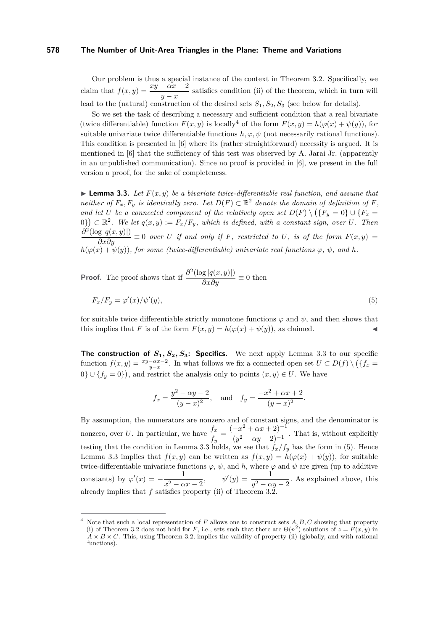Our problem is thus a special instance of the context in Theorem [3.2.](#page-8-0) Specifically, we claim that  $f(x,y) = \frac{xy - \alpha x - 2}{y - x}$  satisfies condition (ii) of the theorem, which in turn will lead to the (natural) construction of the desired sets  $S_1, S_2, S_3$  (see below for details).

So we set the task of describing a necessary and sufficient condition that a real bivariate (twice differentiable) function  $F(x, y)$  is locally<sup>[4](#page-9-0)</sup> of the form  $F(x, y) = h(\varphi(x) + \psi(y))$ , for suitable univariate twice differentiable functions  $h, \varphi, \psi$  (not necessarily rational functions). This condition is presented in [\[6\]](#page-14-9) where its (rather straightforward) necessity is argued. It is mentioned in [\[6\]](#page-14-9) that the sufficiency of this test was observed by A. Jarai Jr. (apparently in an unpublished communication). Since no proof is provided in [\[6\]](#page-14-9), we present in the full version a proof, for the sake of completeness.

<span id="page-9-1"></span>**Lemma 3.3.** Let  $F(x, y)$  be a bivariate twice-differentiable real function, and assume that *neither of*  $F_x, F_y$  *is identically zero.* Let  $D(F) \subset \mathbb{R}^2$  *denote the domain of definition of*  $F$ *, and let U be a connected component of the relatively open set*  $D(F) \setminus (\{F_y = 0\} \cup \{F_x = 0\})$  $(0,0)$   $\subset \mathbb{R}^2$ . We let  $q(x,y) := F_x/F_y$ , which is defined, with a constant sign, over U. Then  $\frac{\partial^2 (\log |q(x,y)|)}{\partial x \partial y} \equiv 0$  *over U if and only if F, restricted to U, is of the form*  $F(x,y) =$  $h(\varphi(x) + \psi(y))$ , for some (twice-differentiable) univariate real functions  $\varphi$ ,  $\psi$ , and *h*.

**Proof.** The proof shows that if  $\frac{\partial^2 (\log |q(x,y)|)}{\partial x \partial y} \equiv 0$  then

$$
F_x/F_y = \varphi'(x)/\psi'(y),\tag{5}
$$

for suitable twice differentiable strictly monotone functions  $\varphi$  and  $\psi$ , and then shows that this implies that *F* is of the form  $F(x, y) = h(\varphi(x) + \psi(y))$ , as claimed.

The construction of  $S_1, S_2, S_3$ : Specifics. We next apply Lemma [3.3](#page-9-1) to our specific function  $f(x, y) = \frac{xy-\alpha x-2}{y-x}$ . In what follows we fix a connected open set  $U \subset D(f) \setminus (\{f_x = f\})$  $0\} \cup \{f_y = 0\}$ , and restrict the analysis only to points  $(x, y) \in U$ . We have

<span id="page-9-2"></span>
$$
f_x = \frac{y^2 - \alpha y - 2}{(y - x)^2}
$$
, and  $f_y = \frac{-x^2 + \alpha x + 2}{(y - x)^2}$ .

By assumption, the numerators are nonzero and of constant signs, and the denominator is nonzero, over *U*. In particular, we have  $\frac{f_x}{f_y} = \frac{(-x^2 + \alpha x + 2)^{-1}}{(y^2 - \alpha y - 2)^{-1}}$  $\frac{x^2 + ax + 2y}{(y^2 - \alpha y - 2)^{-1}}$ . That is, without explicitly testing that the condition in Lemma [3.3](#page-9-1) holds, we see that  $f_x/f_y$  has the form in [\(5\)](#page-9-2). Hence Lemma [3.3](#page-9-1) implies that  $f(x, y)$  can be written as  $f(x, y) = h(\varphi(x) + \psi(y))$ , for suitable twice-differentiable univariate functions  $\varphi$ ,  $\psi$ , and h, where  $\varphi$  and  $\psi$  are given (up to additive constants) by  $\varphi'(x) = -\frac{1}{2}$  $\frac{1}{x^2 - \alpha x - 2}$ ,  $\psi'(y) = \frac{1}{y^2 - \alpha y - 2}$ . As explained above, this already implies that *f* satisfies property (ii) of Theorem [3.2.](#page-8-0)

<span id="page-9-0"></span>Note that such a local representation of *F* allows one to construct sets *A, B, C* showing that property (i) of Theorem [3.2](#page-8-0) does not hold for *F*, i.e., sets such that there are  $\Theta(n^2)$  solutions of  $z = F(x, y)$  in  $A \times B \times C$ . This, using Theorem [3.2,](#page-8-0) implies the validity of property (ii) (globally, and with rational functions).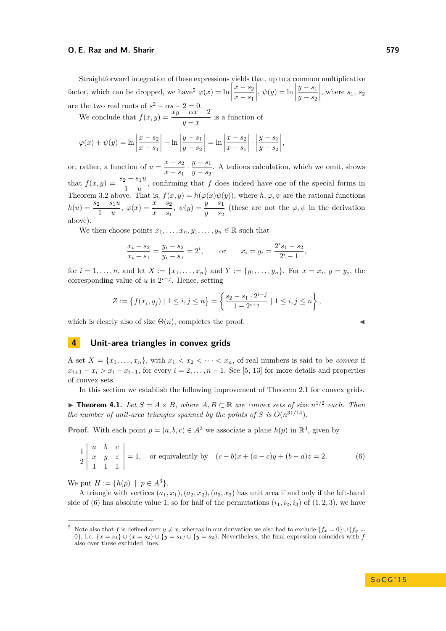Straightforward integration of these expressions yields that, up to a common multiplicative factor, which can be dropped, we have<sup>[5](#page-10-0)</sup>  $\varphi(x) = \ln \left| \frac{\partial^2 u}{\partial x^2} \right|$ are the two real roots of  $s^2 - \alpha s - 2 = 0$ . *x* − *s*<sup>2</sup> *x* − *s*<sup>1</sup>  $\Big|, \psi(y) = \ln \Big|$ *y* − *s*<sup>1</sup> *y* − *s*<sup>2</sup>  $\begin{array}{c} \hline \end{array}$ , where  $s_1$ ,  $s_2$ 

We conclude that  $f(x, y) = \frac{xy - \alpha x - 2}{y - x}$  is a function of

$$
\varphi(x) + \psi(y) = \ln \left| \frac{x - s_2}{x - s_1} \right| + \ln \left| \frac{y - s_1}{y - s_2} \right| = \ln \left| \frac{x - s_2}{x - s_1} \right| \cdot \left| \frac{y - s_1}{y - s_2} \right|,
$$

or, rather, a function of  $u = \frac{x - s_2}{a}$  $\frac{x - s_2}{x - s_1} \cdot \frac{y - s_1}{y - s_2}$  $\frac{y}{y-s_2}$ . A tedious calculation, which we omit, shows that  $f(x,y) = \frac{s_2 - s_1 u}{1 - u}$ , confirming that *f* does indeed have one of the special forms in Theorem [3.2](#page-8-0) above. That is,  $f(x, y) = h(\varphi(x)\psi(y))$ , where  $h, \varphi, \psi$  are the rational functions  $h(u) = \frac{s_2 - s_1 u}{1 - u}, \ \varphi(x) = \frac{x - s_2}{x - s_1}, \ \psi(y) = \frac{y - s_1}{y - s_2}$  (these are not the  $\varphi, \psi$  in the derivation above).

We then choose points  $x_1, \ldots, x_n, y_1, \ldots, y_n \in \mathbb{R}$  such that

$$
\frac{x_i - s_2}{x_i - s_1} = \frac{y_i - s_2}{y_i - s_1} = 2^i, \qquad \text{or} \qquad x_i = y_i = \frac{2^i s_1 - s_2}{2^i - 1},
$$

for  $i = 1, ..., n$ , and let  $X := \{x_1, ..., x_n\}$  and  $Y := \{y_1, ..., y_n\}$ . For  $x = x_i, y = y_j$ , the corresponding value of *u* is  $2^{i-j}$ . Hence, setting

$$
Z := \left\{ f(x_i, y_j) \mid 1 \leq i, j \leq n \right\} = \left\{ \frac{s_2 - s_1 \cdot 2^{i-j}}{1 - 2^{i-j}} \mid 1 \leq i, j \leq n \right\},\
$$

which is clearly also of size  $\Theta(n)$ , completes the proof.

# **4 Unit-area triangles in convex grids**

A set  $X = \{x_1, \ldots, x_n\}$ , with  $x_1 < x_2 < \cdots < x_n$ , of real numbers is said to be *convex* if  $x_{i+1} - x_i > x_i - x_{i-1}$ , for every  $i = 2, \ldots, n-1$ . See [\[5,](#page-14-16) [13\]](#page-14-13) for more details and properties of convex sets.

In this section we establish the following improvement of Theorem [2.1](#page-1-1) for convex grids.

<span id="page-10-2"></span>▶ **Theorem 4.1.** *Let*  $S = A \times B$ *, where*  $A, B \subset \mathbb{R}$  *are convex sets of size*  $n^{1/2}$  *each. Then the number of unit-area triangles spanned by the points of S is*  $O(n^{31/14})$ *.* 

**Proof.** With each point  $p = (a, b, c) \in A^3$  we associate a plane  $h(p)$  in  $\mathbb{R}^3$ , given by

$$
\frac{1}{2} \begin{vmatrix} a & b & c \\ x & y & z \\ 1 & 1 & 1 \end{vmatrix} = 1
$$
, or equivalently by  $(c - b)x + (a - c)y + (b - a)z = 2$ . (6)

We put  $H := \{h(p) \mid p \in A^3\}.$ 

A triangle with vertices  $(a_1, x_1), (a_2, x_2), (a_3, x_3)$  has unit area if and only if the left-hand side of [\(6\)](#page-10-1) has absolute value 1, so for half of the permutations  $(i_1, i_2, i_3)$  of  $(1, 2, 3)$ , we have

<span id="page-10-1"></span>
$$
\blacksquare
$$

<span id="page-10-0"></span> $^5$  Note also that *f* is defined over  $y \neq x$ , whereas in our derivation we also had to exclude  $\{f_x = 0\} \cup \{f_y = 0\}$ 0}, i.e.  $\{x = s_1\} \cup \{x = s_2\} \cup \{y = s_1\} \cup \{y = s_2\}$ . Nevertheless, the final expression coincides with *f* also over these excluded lines.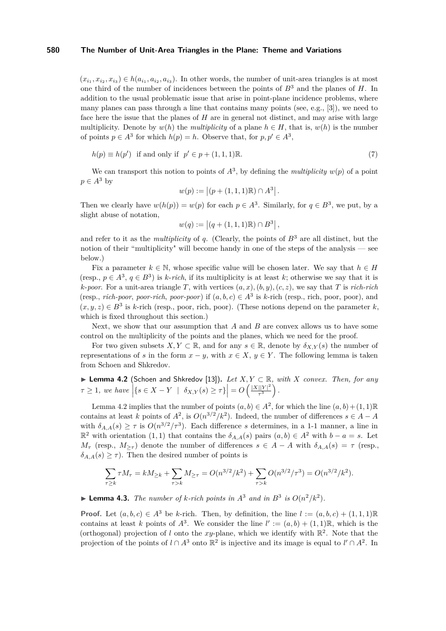$(x_{i_1}, x_{i_2}, x_{i_3}) \in h(a_{i_1}, a_{i_2}, a_{i_3})$ . In other words, the number of unit-area triangles is at most one third of the number of incidences between the points of *B*<sup>3</sup> and the planes of *H*. In addition to the usual problematic issue that arise in point-plane incidence problems, where many planes can pass through a line that contains many points (see, e.g., [\[3\]](#page-14-17)), we need to face here the issue that the planes of *H* are in general not distinct, and may arise with large multiplicity. Denote by  $w(h)$  the *multiplicity* of a plane  $h \in H$ , that is,  $w(h)$  is the number of points  $p \in A^3$  for which  $h(p) = h$ . Observe that, for  $p, p' \in A^3$ ,

$$
h(p) \equiv h(p') \text{ if and only if } p' \in p + (1, 1, 1)\mathbb{R}.
$$
 (7)

We can transport this notion to points of  $A^3$ , by defining the *multiplicity*  $w(p)$  of a point  $p \in A^3$  by

$$
w(p) := | (p + (1, 1, 1)\mathbb{R}) \cap A^3 |.
$$

Then we clearly have  $w(h(p)) = w(p)$  for each  $p \in A^3$ . Similarly, for  $q \in B^3$ , we put, by a slight abuse of notation,

$$
w(q) := |(q + (1, 1, 1)\mathbb{R}) \cap B^3|,
$$

and refer to it as the *multiplicity* of *q*. (Clearly, the points of  $B^3$  are all distinct, but the notion of their "multiplicity" will become handy in one of the steps of the analysis — see below.)

Fix a parameter  $k \in \mathbb{N}$ , whose specific value will be chosen later. We say that  $h \in H$ (resp.,  $p \in A^3$ ,  $q \in B^3$ ) is *k*-*rich*, if its multiplicity is at least *k*; otherwise we say that it is *k*-*poor*. For a unit-area triangle *T*, with vertices  $(a, x)$ *,* $(b, y)$ *,* $(c, z)$ *,* we say that *T* is *rich-rich* (resp., *rich-poor*, *poor-rich*, *poor-poor*) if  $(a, b, c) \in A^3$  is *k*-rich (resp., rich, poor, poor), and  $(x, y, z) \in B<sup>3</sup>$  is *k*-rich (resp., poor, rich, poor). (These notions depend on the parameter *k*, which is fixed throughout this section.)

Next, we show that our assumption that *A* and *B* are convex allows us to have some control on the multiplicity of the points and the planes, which we need for the proof.

For two given subsets  $X, Y \subset \mathbb{R}$ , and for any  $s \in \mathbb{R}$ , denote by  $\delta_{X,Y}(s)$  the number of representations of *s* in the form  $x - y$ , with  $x \in X$ ,  $y \in Y$ . The following lemma is taken from Schoen and Shkredov.

<span id="page-11-0"></span>I **Lemma 4.2** (Schoen and Shkredov [\[13\]](#page-14-13))**.** *Let X, Y* ⊂ R*, with X convex. Then, for any*  $\tau \geq 1$ , we have  $\left| \{ s \in X - Y \mid \delta_{X,Y}(s) \geq \tau \} \right| = O\left( \frac{|X||Y|^2}{\tau^3} \right)$  $\frac{||Y|^2}{\tau^3}$ .

Lemma [4.2](#page-11-0) implies that the number of points  $(a, b) \in A^2$ , for which the line  $(a, b) + (1, 1)\mathbb{R}$ contains at least *k* points of  $A^2$ , is  $O(n^{3/2}/k^2)$ . Indeed, the number of differences  $s \in A - A$ with  $\delta_{A,A}(s) \geq \tau$  is  $O(n^{3/2}/\tau^3)$ . Each difference *s* determines, in a 1-1 manner, a line in  $\mathbb{R}^2$  with orientation (1, 1) that contains the  $\delta_{A,A}(s)$  pairs  $(a,b) \in A^2$  with  $b-a=s$ . Let  $M_{\tau}$  (resp.,  $M_{\geq \tau}$ ) denote the number of differences  $s \in A - A$  with  $\delta_{A,A}(s) = \tau$  (resp.,  $\delta_{A,A}(s) > \tau$ . Then the desired number of points is

$$
\sum_{\tau \ge k} \tau M_{\tau} = k M_{\ge k} + \sum_{\tau > k} M_{\ge \tau} = O(n^{3/2}/k^2) + \sum_{\tau > k} O(n^{3/2}/\tau^3) = O(n^{3/2}/k^2).
$$

<span id="page-11-1"></span>**Example 1.3.** *The number of k-rich points in*  $A^3$  *and in*  $B^3$  *is*  $O(n^2/k^2)$ *.* 

**Proof.** Let  $(a, b, c) \in A^3$  be *k*-rich. Then, by definition, the line  $l := (a, b, c) + (1, 1, 1)\mathbb{R}$ contains at least *k* points of  $A^3$ . We consider the line  $l' := (a, b) + (1, 1)\mathbb{R}$ , which is the (orthogonal) projection of *l* onto the xy-plane, which we identify with  $\mathbb{R}^2$ . Note that the projection of the points of  $l \cap A^3$  onto  $\mathbb{R}^2$  is injective and its image is equal to  $l' \cap A^2$ . In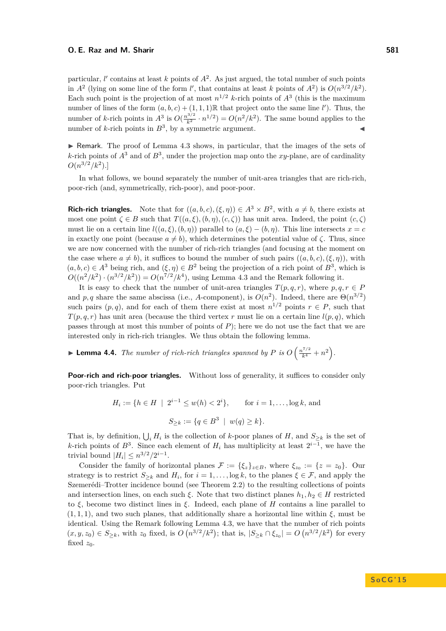particular,  $l'$  contains at least  $k$  points of  $A^2$ . As just argued, the total number of such points in  $A^2$  (lying on some line of the form *l'*, that contains at least *k* points of  $A^2$ ) is  $O(n^{3/2}/k^2)$ . Each such point is the projection of at most  $n^{1/2}$  *k*-rich points of  $A<sup>3</sup>$  (this is the maximum number of lines of the form  $(a, b, c) + (1, 1, 1) \mathbb{R}$  that project onto the same line *l'*). Thus, the number of *k*-rich points in  $A^3$  is  $O(\frac{n^{3/2}}{k^2} \cdot n^{1/2}) = O(n^2/k^2)$ . The same bound applies to the number of *k*-rich points in  $B^3$ , by a symmetric argument.

 $\triangleright$  Remark. The proof of Lemma [4.3](#page-11-1) shows, in particular, that the images of the sets of *k*-rich points of  $A<sup>3</sup>$  and of  $B<sup>3</sup>$ , under the projection map onto the *xy*-plane, are of cardinality  $O(n^{3/2}/k^2)$ .]

In what follows, we bound separately the number of unit-area triangles that are rich-rich, poor-rich (and, symmetrically, rich-poor), and poor-poor.

**Rich-rich triangles.** Note that for  $((a, b, c), (\xi, \eta)) \in A^3 \times B^2$ , with  $a \neq b$ , there exists at most one point  $\zeta \in B$  such that  $T((a,\xi),(b,\eta),(c,\zeta))$  has unit area. Indeed, the point  $(c,\zeta)$ must lie on a certain line  $l((a, \xi), (b, \eta))$  parallel to  $(a, \xi) - (b, \eta)$ . This line intersects  $x = c$ in exactly one point (because  $a \neq b$ ), which determines the potential value of  $\zeta$ . Thus, since we are now concerned with the number of rich-rich triangles (and focusing at the moment on the case where  $a \neq b$ ), it suffices to bound the number of such pairs  $((a, b, c), (\xi, \eta))$ , with  $(a, b, c) \in A<sup>3</sup>$  being rich, and  $(\xi, \eta) \in B<sup>2</sup>$  being the projection of a rich point of  $B<sup>3</sup>$ , which is  $O((n^2/k^2) \cdot (n^{3/2}/k^2)) = O(n^{7/2}/k^4)$ , using Lemma [4.3](#page-11-1) and the Remark following it.

It is easy to check that the number of unit-area triangles  $T(p,q,r)$ , where  $p,q,r \in P$ and *p*, *q* share the same abscissa (i.e., *A*-component), is  $O(n^2)$ . Indeed, there are  $\Theta(n^{3/2})$ such pairs  $(p, q)$ , and for each of them there exist at most  $n^{1/2}$  points  $r \in P$ , such that  $T(p,q,r)$  has unit area (because the third vertex *r* must lie on a certain line  $l(p,q)$ , which passes through at most this number of points of *P*); here we do not use the fact that we are interested only in rich-rich triangles. We thus obtain the following lemma.

**Example 1.4.** The number of rich-rich triangles spanned by P is  $O\left(\frac{n^{7/2}}{k^4} + n^2\right)$ .

**Poor-rich and rich-poor triangles.** Without loss of generality, it suffices to consider only poor-rich triangles. Put

$$
H_i := \{ h \in H \mid 2^{i-1} \le w(h) < 2^i \}, \quad \text{for } i = 1, \dots, \log k, \text{ and}
$$
\n
$$
S_{\ge k} := \{ q \in B^3 \mid w(q) \ge k \}.
$$

That is, by definition,  $\bigcup_i H_i$  is the collection of *k*-poor planes of *H*, and  $S_{\geq k}$  is the set of *k*-rich points of  $B^3$ . Since each element of  $H_i$  has multiplicity at least  $2^{i-1}$ , we have the trivial bound  $|H_i| \leq n^{3/2}/2^{i-1}$ .

Consider the family of horizontal planes  $\mathcal{F} := {\xi_z}_{z \in B}$ , where  $\xi_{z_0} := \{z = z_0\}$ . Our strategy is to restrict  $S_{\geq k}$  and  $H_i$ , for  $i = 1, \ldots, \log k$ , to the planes  $\xi \in \mathcal{F}$ , and apply the Szemerédi–Trotter incidence bound (see Theorem [2.2\)](#page-1-3) to the resulting collections of points and intersection lines, on each such  $\xi$ . Note that two distinct planes  $h_1, h_2 \in H$  restricted to *ξ*, become two distinct lines in *ξ*. Indeed, each plane of *H* contains a line parallel to  $(1,1,1)$ , and two such planes, that additionally share a horizontal line within  $\xi$ , must be identical. Using the Remark following Lemma [4.3,](#page-11-1) we have that the number of rich points  $(x, y, z_0) \in S_{\geq k}$ , with  $z_0$  fixed, is  $O(n^{3/2}/k^2)$ ; that is,  $|S_{\geq k} \cap \xi_{z_0}| = O(n^{3/2}/k^2)$  for every fixed  $z_0$ .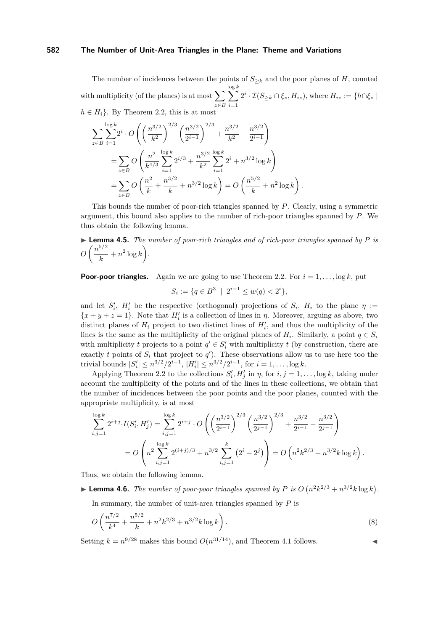The number of incidences between the points of  $S_{\geq k}$  and the poor planes of *H*, counted with multiplicity (of the planes) is at most  $\sum$ *z*∈*B* log  $\sum$ *k i*=1  $2^{i} \cdot \mathcal{I}(S_{\geq k} \cap \xi_z, H_{iz}),$  where  $H_{iz} := \{h \cap \xi_z \mid$  $h \in H_i$ . By Theorem [2.2,](#page-1-3) this is at most

$$
\sum_{z \in B} \sum_{i=1}^{\log k} 2^i \cdot O\left(\left(\frac{n^{3/2}}{k^2}\right)^{2/3} \left(\frac{n^{3/2}}{2^{i-1}}\right)^{2/3} + \frac{n^{3/2}}{k^2} + \frac{n^{3/2}}{2^{i-1}}\right)
$$
  
= 
$$
\sum_{z \in B} O\left(\frac{n^2}{k^{4/3}} \sum_{i=1}^{\log k} 2^{i/3} + \frac{n^{3/2}}{k^2} \sum_{i=1}^{\log k} 2^i + n^{3/2} \log k\right)
$$
  
= 
$$
\sum_{z \in B} O\left(\frac{n^2}{k} + \frac{n^{3/2}}{k} + n^{3/2} \log k\right) = O\left(\frac{n^{5/2}}{k} + n^2 \log k\right).
$$

This bounds the number of poor-rich triangles spanned by *P*. Clearly, using a symmetric argument, this bound also applies to the number of rich-poor triangles spanned by *P*. We thus obtain the following lemma.

**Lemma 4.5.** The number of poor-rich triangles and of rich-poor triangles spanned by P is 
$$
O\left(\frac{n^{5/2}}{k} + n^2 \log k\right)
$$
.

**Poor-poor triangles.** Again we are going to use Theorem [2.2.](#page-1-3) For  $i = 1, \ldots, \log k$ , put

$$
S_i := \{ q \in B^3 \: \mid \: 2^{i-1} \le w(q) < 2^i \},
$$

and let  $S_i'$ ,  $H_i'$  be the respective (orthogonal) projections of  $S_i$ ,  $H_i$  to the plane  $\eta$  :=  ${x + y + z = 1}$ . Note that  $H_i'$  is a collection of lines in *η*. Moreover, arguing as above, two distinct planes of  $H_i$  project to two distinct lines of  $H'_i$ , and thus the multiplicity of the lines is the same as the multiplicity of the original planes of  $H_i$ . Similarly, a point  $q \in S_i$ with multiplicity *t* projects to a point  $q' \in S'_i$  with multiplicity *t* (by construction, there are exactly *t* points of  $S_i$  that project to  $q'$ ). These observations allow us to use here too the trivial bounds  $|S'_i| \leq n^{3/2}/2^{i-1}$ ,  $|H'_i| \leq n^{3/2}/2^{i-1}$ , for  $i = 1, ..., \log k$ .

Applying Theorem [2.2](#page-1-3) to the collections  $S_i', H_j'$  in  $\eta$ , for  $i, j = 1, \ldots, \log k$ , taking under account the multiplicity of the points and of the lines in these collections, we obtain that the number of incidences between the poor points and the poor planes, counted with the appropriate multiplicity, is at most

$$
\sum_{i,j=1}^{\log k} 2^{i+j} \cdot I(S'_i, H'_j) = \sum_{i,j=1}^{\log k} 2^{i+j} \cdot O\left(\left(\frac{n^{3/2}}{2^{i-1}}\right)^{2/3} \left(\frac{n^{3/2}}{2^{j-1}}\right)^{2/3} + \frac{n^{3/2}}{2^{i-1}} + \frac{n^{3/2}}{2^{j-1}}\right)
$$
  
= 
$$
O\left(n^2 \sum_{i,j=1}^{\log k} 2^{(i+j)/3} + n^{3/2} \sum_{i,j=1}^k (2^i + 2^j)\right) = O\left(n^2 k^{2/3} + n^{3/2} k \log k\right).
$$

Thus, we obtain the following lemma.

**Example 1.6.** *The number of poor-poor triangles spanned by P is*  $O(n^2k^{2/3} + n^{3/2}k \log k)$ .

In summary, the number of unit-area triangles spanned by *P* is

$$
O\left(\frac{n^{7/2}}{k^4} + \frac{n^{5/2}}{k} + n^2 k^{2/3} + n^{3/2} k \log k\right).
$$
 (8)

Setting  $k = n^{9/28}$  makes this bound  $O(n^{31/14})$ , and Theorem [4.1](#page-10-2) follows.